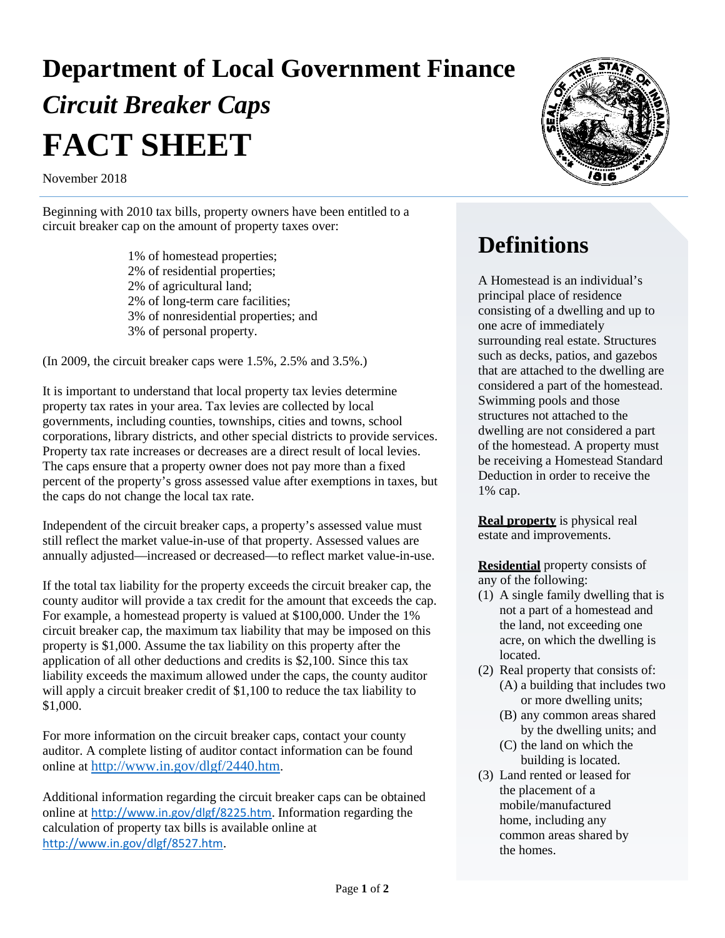# **Department of Local Government Finance**  *Circuit Breaker Caps* **FACT SHEET**

November 2018

Beginning with 2010 tax bills, property owners have been entitled to a circuit breaker cap on the amount of property taxes over:

> 1% of homestead properties; 2% of residential properties; 2% of agricultural land; 2% of long-term care facilities; 3% of nonresidential properties; and 3% of personal property.

(In 2009, the circuit breaker caps were 1.5%, 2.5% and 3.5%.)

It is important to understand that local property tax levies determine property tax rates in your area. Tax levies are collected by local governments, including counties, townships, cities and towns, school corporations, library districts, and other special districts to provide services. Property tax rate increases or decreases are a direct result of local levies. The caps ensure that a property owner does not pay more than a fixed percent of the property's gross assessed value after exemptions in taxes, but the caps do not change the local tax rate.

Independent of the circuit breaker caps, a property's assessed value must still reflect the market value-in-use of that property. Assessed values are annually adjusted—increased or decreased—to reflect market value-in-use.

If the total tax liability for the property exceeds the circuit breaker cap, the county auditor will provide a tax credit for the amount that exceeds the cap. For example, a homestead property is valued at \$100,000. Under the 1% circuit breaker cap, the maximum tax liability that may be imposed on this property is \$1,000. Assume the tax liability on this property after the application of all other deductions and credits is \$2,100. Since this tax liability exceeds the maximum allowed under the caps, the county auditor will apply a circuit breaker credit of \$1,100 to reduce the tax liability to \$1,000.

For more information on the circuit breaker caps, contact your county auditor. A complete listing of auditor contact information can be found online at [http://www.in.gov/dlgf/2440.htm.](http://www.in.gov/dlgf/2440.htm)

Additional information regarding the circuit breaker caps can be obtained online at <http://www.in.gov/dlgf/8225.htm>. Information regarding the calculation of property tax bills is available online at <http://www.in.gov/dlgf/8527.htm>.



### **Definitions**

A Homestead is an individual's principal place of residence consisting of a dwelling and up to one acre of immediately surrounding real estate. Structures such as decks, patios, and gazebos that are attached to the dwelling are considered a part of the homestead. Swimming pools and those structures not attached to the dwelling are not considered a part of the homestead. A property must be receiving a Homestead Standard Deduction in order to receive the 1% cap.

**Real property** is physical real estate and improvements.

**Residential** property consists of any of the following:

- (1) A single family dwelling that is not a part of a homestead and the land, not exceeding one acre, on which the dwelling is **located**
- (2) Real property that consists of: (A) a building that includes two or more dwelling units;
	- (B) any common areas shared by the dwelling units; and
	- (C) the land on which the building is located.
- (3) Land rented or leased for the placement of a mobile/manufactured home, including any common areas shared by the homes.